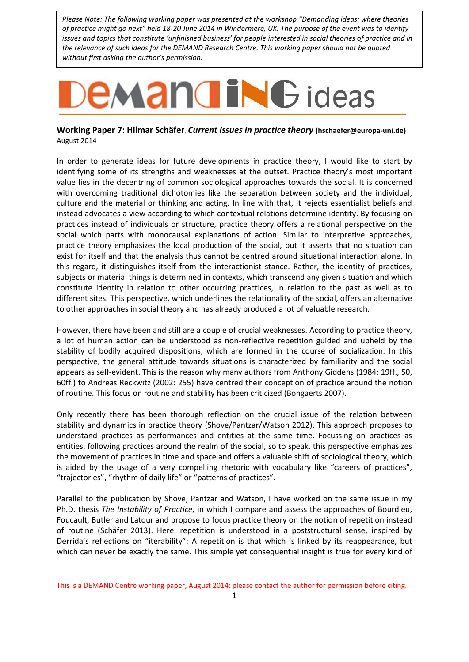*Please Note: The following working paper was presented at the workshop "Demanding ideas: where theories of practice might go next" held 18-20 June 2014 in Windermere, UK. The purpose of the event was to identify issues and topics that constitute 'unfinished business' for people interested in social theories of practice and in the relevance of such ideas for the DEMAND Research Centre. This working paper should not be quoted without first asking the author's permission.*

## **EMANGING** ideas

## **Working Paper 7: Hilmar Schäfer**, *Current issues in practice theory* **(hschaefer@europa-uni.de)** August 2014

In order to generate ideas for future developments in practice theory, I would like to start by identifying some of its strengths and weaknesses at the outset. Practice theory's most important value lies in the decentring of common sociological approaches towards the social. It is concerned with overcoming traditional dichotomies like the separation between society and the individual, culture and the material or thinking and acting. In line with that, it rejects essentialist beliefs and instead advocates a view according to which contextual relations determine identity. By focusing on practices instead of individuals or structure, practice theory offers a relational perspective on the social which parts with monocausal explanations of action. Similar to interpretive approaches, practice theory emphasizes the local production of the social, but it asserts that no situation can exist for itself and that the analysis thus cannot be centred around situational interaction alone. In this regard, it distinguishes itself from the interactionist stance. Rather, the identity of practices, subjects or material things is determined in contexts, which transcend any given situation and which constitute identity in relation to other occurring practices, in relation to the past as well as to different sites. This perspective, which underlines the relationality of the social, offers an alternative to other approaches in social theory and has already produced a lot of valuable research.

However, there have been and still are a couple of crucial weaknesses. According to practice theory, a lot of human action can be understood as non-reflective repetition guided and upheld by the stability of bodily acquired dispositions, which are formed in the course of socialization. In this perspective, the general attitude towards situations is characterized by familiarity and the social appears as self-evident. This is the reason why many authors from Anthony Giddens (1984: 19ff., 50, 60ff.) to Andreas Reckwitz (2002: 255) have centred their conception of practice around the notion of routine. This focus on routine and stability has been criticized (Bongaerts 2007).

Only recently there has been thorough reflection on the crucial issue of the relation between stability and dynamics in practice theory (Shove/Pantzar/Watson 2012). This approach proposes to understand practices as performances and entities at the same time. Focussing on practices as entities, following practices around the realm of the social, so to speak, this perspective emphasizes the movement of practices in time and space and offers a valuable shift of sociological theory, which is aided by the usage of a very compelling rhetoric with vocabulary like "careers of practices", "trajectories", "rhythm of daily life" or "patterns of practices".

Parallel to the publication by Shove, Pantzar and Watson, I have worked on the same issue in my Ph.D. thesis *The Instability of Practice*, in which I compare and assess the approaches of Bourdieu, Foucault, Butler and Latour and propose to focus practice theory on the notion of repetition instead of routine (Schäfer 2013). Here, repetition is understood in a poststructural sense, inspired by Derrida's reflections on "iterability": A repetition is that which is linked by its reappearance, but which can never be exactly the same. This simple yet consequential insight is true for every kind of

This is a DEMAND Centre working paper, August 2014: please contact the author for permission before citing.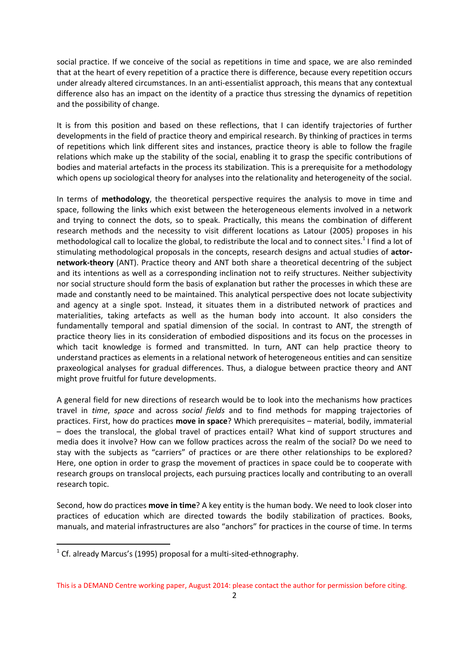social practice. If we conceive of the social as repetitions in time and space, we are also reminded that at the heart of every repetition of a practice there is difference, because every repetition occurs under already altered circumstances. In an anti-essentialist approach, this means that any contextual difference also has an impact on the identity of a practice thus stressing the dynamics of repetition and the possibility of change.

It is from this position and based on these reflections, that I can identify trajectories of further developments in the field of practice theory and empirical research. By thinking of practices in terms of repetitions which link different sites and instances, practice theory is able to follow the fragile relations which make up the stability of the social, enabling it to grasp the specific contributions of bodies and material artefacts in the process its stabilization. This is a prerequisite for a methodology which opens up sociological theory for analyses into the relationality and heterogeneity of the social.

In terms of **methodology**, the theoretical perspective requires the analysis to move in time and space, following the links which exist between the heterogeneous elements involved in a network and trying to connect the dots, so to speak. Practically, this means the combination of different research methods and the necessity to visit different locations as Latour (2005) proposes in his methodological call to localize the global, to redistribute the local and to connect sites.<sup>1</sup> I find a lot of stimulating methodological proposals in the concepts, research designs and actual studies of **actornetwork-theory** (ANT). Practice theory and ANT both share a theoretical decentring of the subject and its intentions as well as a corresponding inclination not to reify structures. Neither subjectivity nor social structure should form the basis of explanation but rather the processes in which these are made and constantly need to be maintained. This analytical perspective does not locate subjectivity and agency at a single spot. Instead, it situates them in a distributed network of practices and materialities, taking artefacts as well as the human body into account. It also considers the fundamentally temporal and spatial dimension of the social. In contrast to ANT, the strength of practice theory lies in its consideration of embodied dispositions and its focus on the processes in which tacit knowledge is formed and transmitted. In turn, ANT can help practice theory to understand practices as elements in a relational network of heterogeneous entities and can sensitize praxeological analyses for gradual differences. Thus, a dialogue between practice theory and ANT might prove fruitful for future developments.

A general field for new directions of research would be to look into the mechanisms how practices travel in *time*, *space* and across *social fields* and to find methods for mapping trajectories of practices. First, how do practices **move in space**? Which prerequisites – material, bodily, immaterial – does the translocal, the global travel of practices entail? What kind of support structures and media does it involve? How can we follow practices across the realm of the social? Do we need to stay with the subjects as "carriers" of practices or are there other relationships to be explored? Here, one option in order to grasp the movement of practices in space could be to cooperate with research groups on translocal projects, each pursuing practices locally and contributing to an overall research topic.

Second, how do practices **move in time**? A key entity is the human body. We need to look closer into practices of education which are directed towards the bodily stabilization of practices. Books, manuals, and material infrastructures are also "anchors" for practices in the course of time. In terms

-

 $1$  Cf. already Marcus's (1995) proposal for a multi-sited-ethnography.

This is a DEMAND Centre working paper, August 2014: please contact the author for permission before citing.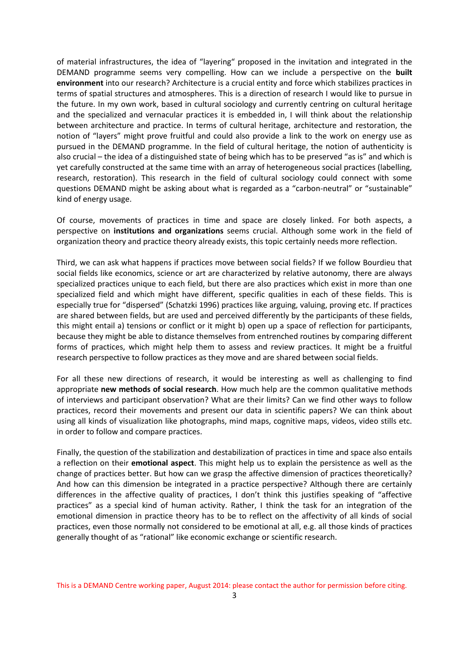of material infrastructures, the idea of "layering" proposed in the invitation and integrated in the DEMAND programme seems very compelling. How can we include a perspective on the **built environment** into our research? Architecture is a crucial entity and force which stabilizes practices in terms of spatial structures and atmospheres. This is a direction of research I would like to pursue in the future. In my own work, based in cultural sociology and currently centring on cultural heritage and the specialized and vernacular practices it is embedded in, I will think about the relationship between architecture and practice. In terms of cultural heritage, architecture and restoration, the notion of "layers" might prove fruitful and could also provide a link to the work on energy use as pursued in the DEMAND programme. In the field of cultural heritage, the notion of authenticity is also crucial – the idea of a distinguished state of being which has to be preserved "as is" and which is yet carefully constructed at the same time with an array of heterogeneous social practices (labelling, research, restoration). This research in the field of cultural sociology could connect with some questions DEMAND might be asking about what is regarded as a "carbon-neutral" or "sustainable" kind of energy usage.

Of course, movements of practices in time and space are closely linked. For both aspects, a perspective on **institutions and organizations** seems crucial. Although some work in the field of organization theory and practice theory already exists, this topic certainly needs more reflection.

Third, we can ask what happens if practices move between social fields? If we follow Bourdieu that social fields like economics, science or art are characterized by relative autonomy, there are always specialized practices unique to each field, but there are also practices which exist in more than one specialized field and which might have different, specific qualities in each of these fields. This is especially true for "dispersed" (Schatzki 1996) practices like arguing, valuing, proving etc. If practices are shared between fields, but are used and perceived differently by the participants of these fields, this might entail a) tensions or conflict or it might b) open up a space of reflection for participants, because they might be able to distance themselves from entrenched routines by comparing different forms of practices, which might help them to assess and review practices. It might be a fruitful research perspective to follow practices as they move and are shared between social fields.

For all these new directions of research, it would be interesting as well as challenging to find appropriate **new methods of social research**. How much help are the common qualitative methods of interviews and participant observation? What are their limits? Can we find other ways to follow practices, record their movements and present our data in scientific papers? We can think about using all kinds of visualization like photographs, mind maps, cognitive maps, videos, video stills etc. in order to follow and compare practices.

Finally, the question of the stabilization and destabilization of practices in time and space also entails a reflection on their **emotional aspect**. This might help us to explain the persistence as well as the change of practices better. But how can we grasp the affective dimension of practices theoretically? And how can this dimension be integrated in a practice perspective? Although there are certainly differences in the affective quality of practices, I don't think this justifies speaking of "affective practices" as a special kind of human activity. Rather, I think the task for an integration of the emotional dimension in practice theory has to be to reflect on the affectivity of all kinds of social practices, even those normally not considered to be emotional at all, e.g. all those kinds of practices generally thought of as "rational" like economic exchange or scientific research.